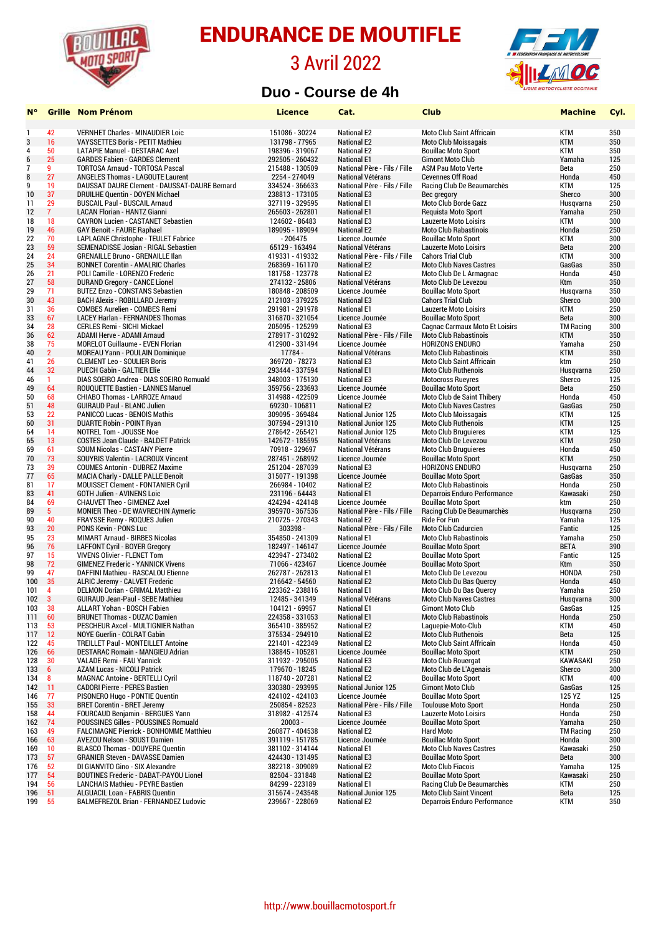

### 3 Avril 2022



#### **Duo - Course de 4h**

| Ν°               |                         | <b>Grille</b> Nom Prénom                                                    | <b>Licence</b>                     | Cat.                                  | <b>Club</b>                                          | <b>Machine</b>      | Cyl.       |
|------------------|-------------------------|-----------------------------------------------------------------------------|------------------------------------|---------------------------------------|------------------------------------------------------|---------------------|------------|
| -1               | 42                      | <b>VERNHET Charles - MINAUDIER Loic</b>                                     | 151086 - 30224                     | <b>National E2</b>                    | <b>Moto Club Saint Affricain</b>                     | <b>KTM</b>          | 350        |
| $\mathbf{3}$     | 16                      | <b>VAYSSETTES Boris - PETIT Mathieu</b>                                     | 131798 - 77965                     | <b>National E2</b>                    | <b>Moto Club Moissagais</b>                          | <b>KTM</b>          | 350        |
| 4                | 50                      | LATAPIE Manuel - DESTARAC Axel                                              | 198396 - 319067                    | <b>National E2</b>                    | <b>Bouillac Moto Sport</b>                           | <b>KTM</b>          | 350        |
| $\boldsymbol{6}$ | 25                      | <b>GARDES Fabien - GARDES Clement</b>                                       | 292505 - 260432                    | <b>National E1</b>                    | <b>Gimont Moto Club</b>                              | Yamaha              | 125        |
| $\overline{1}$   | 9                       | <b>TORTOSA Arnaud - TORTOSA Pascal</b>                                      | 215488 - 130509                    | National Père - Fils / Fille          | <b>ASM Pau Moto Verte</b>                            | Beta                | 250        |
| 8                | 27                      | <b>ANGELES Thomas - LAGOUTE Laurent</b>                                     | 2254 - 274049                      | <b>National Vétérans</b>              | <b>Cevennes Off Road</b>                             | Honda               | 450        |
| 9                | 19                      | DAUSSAT DAURE Clement - DAUSSAT-DAURE Bernard                               | 334524 - 366633                    | National Père - Fils / Fille          | Racing Club De Beaumarchès                           | <b>KTM</b>          | 125        |
| 10               | 37                      | DRUILHE Quentin - DOYEN Michael                                             | 238813 - 173105                    | <b>National E3</b>                    | Bec gregory                                          | Sherco              | 300        |
| 11               | 29                      | <b>BUSCAIL Paul - BUSCAIL Arnaud</b>                                        | 327119 - 329595                    | <b>National E1</b>                    | Moto Club Borde Gazz                                 | Husqvarna           | 250        |
| 12               | 7 <sup>1</sup>          | <b>LACAN Florian - HANTZ Gianni</b>                                         | 265603 - 262801                    | <b>National E1</b>                    | <b>Requista Moto Sport</b>                           | Yamaha              | 250        |
| 18               | 18                      | <b>CAYRON Lucien - CASTANET Sebastien</b>                                   | 124602 - 86483                     | <b>National E3</b>                    | <b>Lauzerte Moto Loisirs</b>                         | KTM                 | 300        |
| 19               | 46                      | <b>GAY Benoit - FAURE Raphael</b>                                           | 189095 - 189094                    | <b>National E2</b>                    | <b>Moto Club Rabastinois</b>                         | Honda               | 250        |
| 22               | 70                      | LAPLAGNE Christophe - TEULET Fabrice                                        | $-206475$                          | Licence Journée                       | <b>Bouillac Moto Sport</b>                           | <b>KTM</b>          | 300        |
| 23               | 59                      | SEMENADISSE Josian - RIGAL Sebastien                                        | 65129 - 163494                     | <b>National Vétérans</b>              | <b>Lauzerte Moto Loisirs</b>                         | Beta                | 200        |
| 24               | 24                      | <b>GRENAILLE Bruno - GRENAILLE Ilan</b>                                     | 419331 - 419332                    | National Père - Fils / Fille          | <b>Cahors Trial Club</b>                             | <b>KTM</b>          | 300        |
| 25               | 34                      | <b>BONNET Corentin - AMALRIC Charles</b>                                    | 268369 - 161170                    | <b>National E2</b>                    | <b>Moto Club Naves Castres</b>                       | GasGas              | 350        |
| 26               | 21                      | POLI Camille - LORENZO Frederic                                             | 181758 - 123778                    | <b>National E2</b>                    | Moto Club De L Armagnac                              | Honda               | 450        |
| 27               | 58                      | <b>DURAND Gregory - CANCE Lionel</b>                                        | 274132 - 25806                     | <b>National Vétérans</b>              | Moto Club De Levezou                                 | Ktm                 | 350        |
| 29               | 71                      | <b>BUTEZ Enzo - CONSTANS Sebastien</b>                                      | 180848 - 208509                    | Licence Journée                       | <b>Bouillac Moto Sport</b>                           | Husqvarna           | 350        |
| 30               | 43                      | BACH Alexis - ROBILLARD Jeremy                                              | 212103 - 379225                    | <b>National E3</b>                    | <b>Cahors Trial Club</b>                             | Sherco              | 300        |
| 31               | 36                      | <b>COMBES Aurelien - COMBES Remi</b>                                        | 291981 - 291978                    | <b>National E1</b>                    | <b>Lauzerte Moto Loisirs</b>                         | KTM                 | 250        |
| 33               | 67                      | <b>LACEY Harlan - FERNANDES Thomas</b>                                      | 316870 - 321054                    | Licence Journée                       | <b>Bouillac Moto Sport</b>                           | Beta                | 300        |
| 34               | 28                      | <b>CERLES Remi - SICHI Mickael</b>                                          | 205095 - 125299                    | <b>National E3</b>                    | <b>Cagnac Carmaux Moto Et Loisirs</b>                | <b>TM Racing</b>    | 300        |
| 36               | 62                      | ADAMI Herve - ADAMI Arnaud                                                  | 278917 - 310292                    | National Père - Fils / Fille          | <b>Moto Club Rabastinois</b>                         | <b>KTM</b>          | 350        |
| 38               | 75                      | <b>MORELOT Guillaume - EVEN Florian</b>                                     | 412900 - 331494                    | Licence Journée                       | <b>HORIZONS ENDURO</b>                               | Yamaha              | 250        |
| 40               | 2 <sup>2</sup>          | MOREAU Yann - POULAIN Dominique                                             | 17784 -                            | <b>National Vétérans</b>              | <b>Moto Club Rabastinois</b>                         | <b>KTM</b>          | 350        |
| 41               | 26                      | <b>CLEMENT Leo - SOULIER Boris</b>                                          | 369720 - 78273                     | <b>National E3</b>                    | <b>Moto Club Saint Affricain</b>                     | ktm                 | 250        |
| 44               | 32                      | <b>PUECH Gabin - GALTIER Elie</b>                                           | 293444 - 337594                    | <b>National E1</b>                    | <b>Moto Club Ruthenois</b>                           | Husgvarna           | 250        |
| 46               | 1.                      | DIAS SOEIRO Andrea - DIAS SOEIRO Romuald                                    | 348003 - 175130                    | <b>National E3</b>                    | <b>Motocross Rueyres</b>                             | Sherco              | 125        |
| 49               | 64                      | <b>ROUQUETTE Bastien - LANNES Manuel</b>                                    | 359756 - 233693                    | Licence Journée                       | <b>Bouillac Moto Sport</b>                           | Beta                | 250        |
| 50               | 68                      | CHIABO Thomas - LARROZE Arnaud                                              | 314988 - 422509                    | Licence Journée                       | Moto Club de Saint Thibery                           | Honda               | 450        |
| 51               | 48                      | <b>GUIRAUD Paul - BLANC Julien</b>                                          | 69230 - 106811                     | <b>National E2</b>                    | <b>Moto Club Naves Castres</b>                       | GasGas              | 250        |
| 53               | 22                      | PANICCO Lucas - BENOIS Mathis                                               | 309095 - 369484                    | <b>National Junior 125</b>            | <b>Moto Club Moissagais</b>                          | <b>KTM</b>          | 125        |
| 60               | 31                      | <b>DUARTE Robin - POINT Ryan</b>                                            | 307594 - 291310                    | <b>National Junior 125</b>            | <b>Moto Club Ruthenois</b>                           | <b>KTM</b>          | 125        |
| 64               | 14                      | <b>NOTREL Tom - JOUSSE Noe</b>                                              | 278642 - 265421                    | <b>National Junior 125</b>            | <b>Moto Club Bruguieres</b>                          | <b>KTM</b>          | 125        |
| 65               | 13                      | <b>COSTES Jean Claude - BALDET Patrick</b>                                  | 142672 - 185595                    | National Vétérans                     | Moto Club De Levezou                                 | <b>KTM</b>          | 250        |
| 69               | 61                      | <b>SOUM Nicolas - CASTANY Pierre</b>                                        | 70918 - 329697                     | National Vétérans                     | <b>Moto Club Bruguieres</b>                          | Honda               | 450<br>250 |
| 70               | 73<br>39                | SOUYRIS Valentin - LACROUX Vincent<br><b>COUMES Antonin - DUBREZ Maxime</b> | 287451 - 268992<br>251204 - 287039 | Licence Journée<br><b>National E3</b> | <b>Bouillac Moto Sport</b><br><b>HORIZONS ENDURO</b> | <b>KTM</b>          | 250        |
| 73<br>77         | 65                      | <b>MACIA Charly - DALLE PALLE Benoit</b>                                    | 315077 - 191398                    | Licence Journée                       | <b>Bouillac Moto Sport</b>                           | Husqvarna<br>GasGas | 350        |
| 81               | 17                      | MOUISSET Clement - FONTANIER Cyril                                          | 266984 - 10402                     | <b>National E2</b>                    | <b>Moto Club Rabastinois</b>                         | Honda               | 250        |
| 83               | 41                      | <b>GOTH Julien - AVINENS Loic</b>                                           | 231196 - 64443                     | <b>National E1</b>                    | Deparrois Enduro Performance                         | Kawasaki            | 250        |
| 84               | 69                      | <b>CHAUVET Theo - GIMENEZ Axel</b>                                          | 424294 - 424148                    | Licence Journée                       | <b>Bouillac Moto Sport</b>                           | ktm                 | 250        |
| 89               | 5 <sup>5</sup>          | <b>MONIER Theo - DE WAVRECHIN Aymeric</b>                                   | 395970 - 367536                    | National Père - Fils / Fille          | Racing Club De Beaumarchès                           | Husqvarna           | 250        |
| 90               | 40                      | FRAYSSE Remy - ROQUES Julien                                                | 210725 - 270343                    | <b>National E2</b>                    | <b>Ride For Fun</b>                                  | Yamaha              | 125        |
| 93               | 20                      | <b>PONS Kevin - PONS Luc</b>                                                | 303398 -                           | National Père - Fils / Fille          | <b>Moto Club Cadurcien</b>                           | Fantic              | 125        |
| 95               | 23                      | <b>MIMART Arnaud - BIRBES Nicolas</b>                                       | 354850 - 241309                    | <b>National E1</b>                    | <b>Moto Club Rabastinois</b>                         | Yamaha              | 250        |
| 96               | 76                      | <b>LAFFONT Cyril - BOYER Gregory</b>                                        | 182497 - 146147                    | Licence Journée                       | <b>Bouillac Moto Sport</b>                           | <b>BETA</b>         | 390        |
| 97               | 15                      | <b>VIVENS Olivier - FLENET Tom</b>                                          | 423947 - 273402                    | <b>National E2</b>                    | <b>Bouillac Moto Sport</b>                           | Fantic              | 125        |
| 98               | 72                      | <b>GIMENEZ Frederic - YANNICK Vivens</b>                                    | 71066 - 423467                     | Licence Journée                       | <b>Bouillac Moto Sport</b>                           | Ktm                 | 350        |
| 99               | 47                      | DAFFINI Mathieu - RASCALOU Etienne                                          | 262787 - 262813                    | <b>National E1</b>                    | Moto Club De Levezou                                 | <b>HONDA</b>        | 250        |
| 100              | 35                      | ALRIC Jeremy - CALVET Frederic                                              | 216642 - 54560                     | <b>National E2</b>                    | Moto Club Du Bas Quercy                              | Honda               | 450        |
| 101              | 4                       | <b>DELMON Dorian - GRIMAL Matthieu</b>                                      | 223362 - 238816                    | <b>National E1</b>                    | Moto Club Du Bas Quercy                              | Yamaha              | 250        |
| 102              | $\overline{\mathbf{3}}$ | <b>GUIRAUD Jean-Paul - SEBE Mathieu</b>                                     | 12485 - 341349                     | National Vétérans                     | <b>Moto Club Naves Castres</b>                       | Husqvarna           | 300        |
| 103              | 38                      | ALLART Yohan - BOSCH Fabien                                                 | 104121 - 69957                     | <b>National E1</b>                    | <b>Gimont Moto Club</b>                              | GasGas              | 125        |
| 111              | 60                      | <b>BRUNET Thomas - DUZAC Damien</b>                                         | 224358 - 331053                    | <b>National E1</b>                    | <b>Moto Club Rabastinois</b>                         | Honda               | 250        |
| 113              | 53                      | PESCHEUR Axcel - MULTIGNIER Nathan                                          | 365410 - 385952                    | <b>National E2</b>                    | Laquepie-Moto-Club                                   | KTM                 | 450        |
| 117              | 12                      | NOYE Guerlin - COLRAT Gabin                                                 | 375534 - 294910                    | <b>National E2</b>                    | Moto Club Ruthenois                                  | Beta                | 125        |
| 122              | 45                      | <b>TREILLET Paul - MONTEILLET Antoine</b>                                   | 221401 - 422349                    | <b>National E2</b>                    | Moto Club Saint Affricain                            | Honda               | 450        |
| 126              | 66                      | DESTARAC Romain - MANGIEU Adrian                                            | 138845 - 105281                    | Licence Journée                       | <b>Bouillac Moto Sport</b>                           | <b>KTM</b>          | 250        |
| 128              | 30                      | VALADE Remi - FAU Yannick                                                   | 311932 - 295005                    | <b>National E3</b>                    | <b>Moto Club Rouergat</b>                            | <b>KAWASAKI</b>     | 250        |
| 133              | 6                       | <b>AZAM Lucas - NICOLI Patrick</b>                                          | 179670 - 18245                     | <b>National E2</b>                    | Moto Club de L'Agenais                               | Sherco              | 300        |
| 134              | 8                       | <b>MAGNAC Antoine - BERTELLI Cyril</b>                                      | 118740 - 207281                    | <b>National E2</b>                    | <b>Bouillac Moto Sport</b>                           | KTM                 | 400        |
| 142              | 11                      | <b>CADORI Pierre - PERES Bastien</b>                                        | 330380 - 293995                    | <b>National Junior 125</b>            | <b>Gimont Moto Club</b>                              | GasGas              | 125        |
| 146              | 77                      | PISONERO Hugo - PONTIE Quentin                                              | 424102 - 424103                    | Licence Journée                       | <b>Bouillac Moto Sport</b>                           | 125 YZ              | 125        |
| 155              | 33                      | <b>BRET Corentin - BRET Jeremy</b>                                          | 250854 - 82523                     | National Père - Fils / Fille          | <b>Toulouse Moto Sport</b>                           | Honda               | 250        |
| 158              | 44                      | <b>FOURCAUD Benjamin - BERGUES Yann</b>                                     | 318982 - 412574                    | <b>National E3</b>                    | <b>Lauzerte Moto Loisirs</b>                         | Honda               | 250        |
| 162              | 74                      | <b>POUSSINES Gilles - POUSSINES Romuald</b>                                 | $20003 -$                          | Licence Journée                       | <b>Bouillac Moto Sport</b>                           | Yamaha              | 250        |
| 163              | 49                      | FALCIMAGNE Pierrick - BONHOMME Matthieu                                     | 260877 - 404538                    | <b>National E2</b>                    | <b>Hard Moto</b>                                     | <b>TM Racing</b>    | 250        |
| 166              | 63                      | AVEZOU Nelson - SOUST Damien                                                | 391119 - 151785                    | Licence Journée                       | <b>Bouillac Moto Sport</b>                           | Honda               | 300        |
| 169              | 10                      | <b>BLASCO Thomas - DOUYERE Quentin</b>                                      | 381102 - 314144                    | <b>National E1</b>                    | <b>Moto Club Naves Castres</b>                       | Kawasaki            | 250        |
| 173              | 57                      | <b>GRANIER Steven - DAVASSE Damien</b>                                      | 424430 - 131495                    | <b>National E3</b>                    | <b>Bouillac Moto Sport</b>                           | <b>Beta</b>         | 300        |
| 176              | 52                      | DI GIANVITO Gino - SIX Alexandre                                            | 382218 - 309089                    | <b>National E2</b>                    | <b>Moto Club Fiacois</b>                             | Yamaha              | 125        |
| 177              | 54                      | <b>BOUTINES Frederic - DABAT-PAYOU Lionel</b>                               | 82504 - 331848                     | <b>National E2</b>                    | <b>Bouillac Moto Sport</b>                           | Kawasaki            | 250        |
| 194              | 56                      | <b>LANCHAIS Mathieu - PEYRE Bastien</b>                                     | 84299 - 223189                     | <b>National E1</b>                    | Racing Club De Beaumarchès                           | <b>KTM</b>          | 250        |
| 196              | 51                      | <b>ALGUACIL Loan - FABRIS Quentin</b>                                       | 315674 - 243548                    | <b>National Junior 125</b>            | Moto Club Saint Vincent                              | Beta                | 125        |
| 199              | 55                      | BALMEFREZOL Brian - FERNANDEZ Ludovic                                       | 239667 - 228069                    | <b>National E2</b>                    | Deparrois Enduro Performance                         | KTM                 | 350        |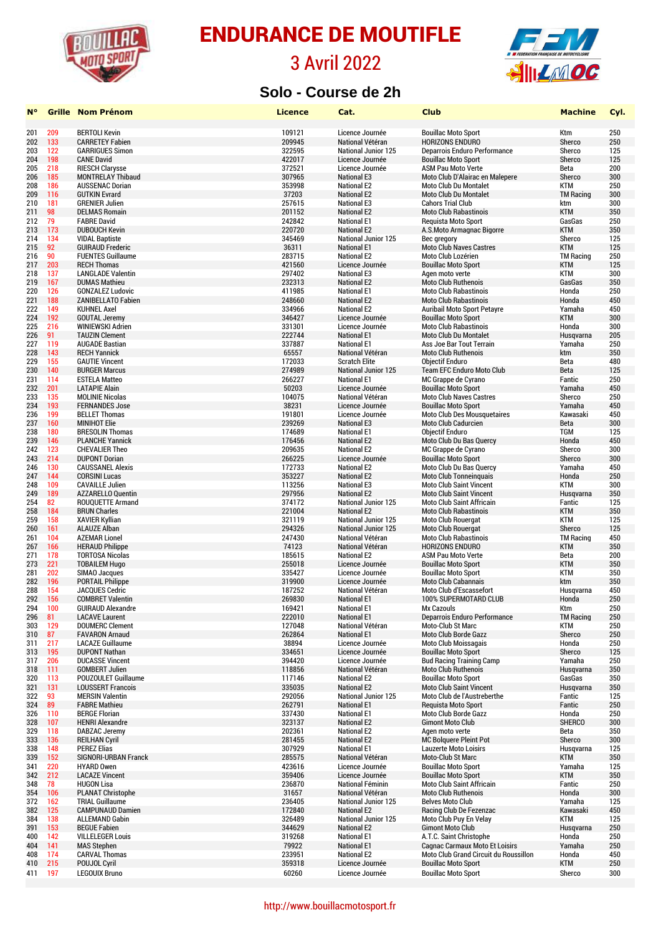

#### 3 Avril 2022



#### **Solo - Course de 2h**

| N۰         | Grille     | <b>Nom Prénom</b>                                  | <b>Licence</b>   | Cat.                                     | Club                                                          | <b>Machine</b>      | Cyl.       |
|------------|------------|----------------------------------------------------|------------------|------------------------------------------|---------------------------------------------------------------|---------------------|------------|
|            |            |                                                    |                  |                                          |                                                               |                     |            |
| 201        | 209        | <b>BERTOLI Kevin</b>                               | 109121           | Licence Journée                          | <b>Bouillac Moto Sport</b>                                    | Ktm                 | 250        |
| 202        | 133        | <b>CARRETEY Fabien</b>                             | 209945           | National Vétéran                         | <b>HORIZONS ENDURO</b>                                        | Sherco              | 250        |
| 203        | 122        | <b>GARRIGUES Simon</b>                             | 322595           | <b>National Junior 125</b>               | Deparrois Enduro Performance                                  | Sherco              | 125        |
| 204        | 198        | <b>CANE David</b>                                  | 422017           | Licence Journée                          | <b>Bouillac Moto Sport</b>                                    | Sherco              | 125        |
| 205        | 218        | <b>RIESCH Clarysse</b>                             | 372521           | Licence Journée                          | <b>ASM Pau Moto Verte</b>                                     | Beta                | 200        |
| 206        | 185        | <b>MONTRELAY Thibaud</b>                           | 307965           | <b>National E3</b>                       | Moto Club D'Alairac en Malepere                               | Sherco              | 300        |
| 208        | 186        | <b>AUSSENAC Dorian</b>                             | 353998           | <b>National E2</b>                       | <b>Moto Club Du Montalet</b>                                  | <b>KTM</b>          | 250        |
| 209        | 116        | <b>GUTKIN Evrard</b>                               | 37203            | <b>National E2</b>                       | Moto Club Du Montalet                                         | <b>TM Racing</b>    | 300        |
| 210        | 181        | <b>GRENIER Julien</b>                              | 257615           | <b>National E3</b>                       | <b>Cahors Trial Club</b>                                      | ktm                 | 300        |
| 211        | 98         | <b>DELMAS Romain</b>                               | 201152           | <b>National E2</b>                       | <b>Moto Club Rabastinois</b>                                  | <b>KTM</b>          | 350        |
| 212        | 79         | <b>FABRE David</b>                                 | 242842           | <b>National E1</b>                       | <b>Requista Moto Sport</b>                                    | GasGas              | 250        |
| 213        | 173        | <b>DUBOUCH Kevin</b>                               | 220720           | <b>National E2</b>                       | A.S.Moto Armagnac Bigorre                                     | <b>KTM</b>          | 350        |
| 214        | 134        | <b>VIDAL Baptiste</b>                              | 345469           | <b>National Junior 125</b>               | Bec gregory                                                   | Sherco              | 125        |
| 215        | 92         | <b>GUIRAUD Frederic</b>                            | 36311            | <b>National E1</b>                       | <b>Moto Club Naves Castres</b>                                | <b>KTM</b>          | 125        |
| 216        | 90         | <b>FUENTES Guillaume</b>                           | 283715           | <b>National E2</b>                       | Moto Club Lozérien                                            | <b>TM Racing</b>    | 250        |
| 217        | 203        | <b>RECH Thomas</b>                                 | 421560           | Licence Journée                          | <b>Bouillac Moto Sport</b>                                    | <b>KTM</b>          | 125        |
| 218        | 137        | <b>LANGLADE Valentin</b>                           | 297402           | <b>National E3</b>                       | Agen moto verte                                               | <b>KTM</b>          | 300        |
| 219        | 167        | <b>DUMAS Mathieu</b>                               | 232313           | <b>National E2</b>                       | <b>Moto Club Ruthenois</b>                                    | GasGas              | 350        |
| 220        | 126        | <b>GONZALEZ Ludovic</b>                            | 411985           | <b>National E1</b>                       | <b>Moto Club Rabastinois</b>                                  | Honda               | 250        |
| 221        | 188        | <b>ZANIBELLATO Fabien</b>                          | 248660           | <b>National E2</b>                       | <b>Moto Club Rabastinois</b>                                  | Honda               | 450        |
| 222        | 149        | <b>KUHNEL Axel</b>                                 | 334966           | <b>National E2</b>                       | <b>Auribail Moto Sport Petayre</b>                            | Yamaha              | 450        |
| 224        | 192        | <b>GOUTAL Jeremy</b>                               | 346427           | Licence Journée                          | <b>Bouillac Moto Sport</b>                                    | <b>KTM</b>          | 300        |
| 225        | 216        | <b>WINIEWSKI Adrien</b>                            | 331301           | Licence Journée                          | <b>Moto Club Rabastinois</b>                                  | Honda               | 300        |
| 226        | 91         | <b>TAUZIN Clement</b>                              | 222744           | <b>National E1</b>                       | <b>Moto Club Du Montalet</b>                                  | Husqvarna           | 205        |
| 227        | 119        | <b>AUGADE Bastian</b>                              | 337887           | <b>National E1</b>                       | Ass Joe Bar Tout Terrain                                      | Yamaha              | 250        |
| 228        | 143        | <b>RECH Yannick</b>                                | 65557            | National Vétéran                         | <b>Moto Club Ruthenois</b>                                    | ktm                 | 350        |
| 229        | 155        | <b>GAUTIE Vincent</b>                              | 172033           | <b>Scratch Elite</b>                     | <b>Objectif Enduro</b>                                        | Beta                | 480        |
| 230        | 140        | <b>BURGER Marcus</b>                               | 274989           | <b>National Junior 125</b>               | Team EFC Enduro Moto Club                                     | Beta                | 125        |
| 231        | 114        | <b>ESTELA Matteo</b>                               | 266227           | <b>National E1</b>                       | MC Grappe de Cyrano                                           | Fantic              | 250        |
| 232        | 201        | <b>LATAPIE Alain</b>                               | 50203            | Licence Journée                          | <b>Bouillac Moto Sport</b>                                    | Yamaha              | 450        |
| 233        | 135        | <b>MOLINIE Nicolas</b>                             | 104075           | National Vétéran                         | <b>Moto Club Naves Castres</b>                                | Sherco              | 250        |
| 234        | 193        | <b>FERNANDES Jose</b>                              | 38231            | Licence Journée                          | <b>Bouillac Moto Sport</b>                                    | Yamaha              | 450        |
| 236        | 199        | <b>BELLET Thomas</b>                               | 191801           | Licence Journée                          | <b>Moto Club Des Mousquetaires</b>                            | Kawasaki            | 450        |
| 237        | 160        | <b>MINIHOT Elie</b>                                | 239269           | <b>National E3</b>                       | <b>Moto Club Cadurcien</b>                                    | Beta                | 300        |
| 238        | 180        | <b>BRESOLIN Thomas</b>                             | 174689           | <b>National E1</b>                       | <b>Objectif Enduro</b>                                        | <b>TGM</b>          | 125        |
| 239        | 146        | <b>PLANCHE Yannick</b>                             | 176456           | <b>National E2</b>                       | Moto Club Du Bas Quercy                                       | Honda               | 450        |
| 242        | 123        | <b>CHEVALIER Theo</b>                              | 209635           | <b>National E2</b>                       | MC Grappe de Cyrano                                           | Sherco              | 300        |
| 243        | 214        | <b>DUPONT Dorian</b>                               | 266225           | Licence Journée                          | <b>Bouillac Moto Sport</b>                                    | Sherco              | 300        |
| 246        | 130        | <b>CAUSSANEL Alexis</b>                            | 172733           | <b>National E2</b>                       | Moto Club Du Bas Quercy                                       | Yamaha              | 450        |
| 247        | 144        | <b>CORSINI Lucas</b>                               | 353227           | <b>National E2</b>                       | <b>Moto Club Tonneinguais</b>                                 | Honda               | 250        |
| 248        | 109        | <b>CAVAILLE Julien</b>                             | 113256           | <b>National E3</b>                       | <b>Moto Club Saint Vincent</b>                                | <b>KTM</b>          | 300        |
| 249        | 189        | <b>AZZARELLO Quentin</b>                           | 297956           | <b>National E2</b>                       | <b>Moto Club Saint Vincent</b>                                | Husqvarna           | 350        |
| 254        | 82         | <b>ROUQUETTE Armand</b>                            | 374172           | <b>National Junior 125</b>               | <b>Moto Club Saint Affricain</b>                              | Fantic              | 125        |
| 258        | 184        | <b>BRUN Charles</b>                                | 221004           | <b>National E2</b>                       | <b>Moto Club Rabastinois</b>                                  | <b>KTM</b>          | 350        |
| 259        | 158        | <b>XAVIER Kyllian</b>                              | 321119           | National Junior 125                      | Moto Club Rouergat                                            | KTM                 | 125        |
| 260        | 161        | <b>ALAUZE Alban</b>                                | 294326           | <b>National Junior 125</b>               | Moto Club Rouergat                                            | Sherco              | 125        |
| 261        | 104        | <b>AZEMAR Lionel</b>                               | 247430           | National Vétéran                         | <b>Moto Club Rabastinois</b>                                  | <b>TM Racing</b>    | 450        |
| 267        | 166        | <b>HERAUD Philippe</b>                             | 74123            | National Vétéran                         | <b>HORIZONS ENDURO</b>                                        | <b>KTM</b>          | 350        |
| 271        | 178        | <b>TORTOSA Nicolas</b>                             | 185615           | <b>National E2</b>                       | <b>ASM Pau Moto Verte</b>                                     | Beta                | 200        |
| 273        | 221        | <b>TOBAILEM Hugo</b>                               | 255018           | Licence Journée                          | <b>Bouillac Moto Sport</b>                                    | <b>KTM</b>          | 350        |
| 281        | 202        | SIMAO Jacques                                      | 335427           | Licence Journée                          | <b>Bouillac Moto Sport</b>                                    | <b>KTM</b>          | 350        |
| 282        | 196        | <b>PORTAIL Philippe</b>                            | 319900           | Licence Journée                          | <b>Moto Club Cabannais</b>                                    | ktm                 | 350        |
| 288        | 154        | <b>JACQUES Cedric</b>                              | 187252           | National Vétéran                         | Moto Club d'Escassefort                                       | Husqvarna           | 450        |
| 292        | 156        | <b>COMBRET Valentin</b>                            | 269830           | <b>National E1</b>                       | 100% SUPERMOTARD CLUB                                         | Honda               | 250        |
| 294        | 100        | <b>GUIRAUD Alexandre</b>                           | 169421           | <b>National E1</b>                       | Mx Cazouls                                                    | Ktm                 | 250        |
| 296        | 81         | <b>LACAVE Laurent</b>                              | 222010           | <b>National E1</b>                       | Deparrois Enduro Performance                                  | <b>TM Racing</b>    | 250        |
| 303        | 129        | <b>DOUMERC Clement</b>                             | 127048           | National Vétéran                         | Moto-Club St Marc                                             | KTM                 | 250        |
| 310        | 87         | <b>FAVARON Arnaud</b>                              | 262864           | <b>National E1</b>                       | Moto Club Borde Gazz                                          | Sherco              | 250        |
| 311        | 217        | <b>LACAZE Guillaume</b>                            | 38894            | Licence Journée                          | <b>Moto Club Moissagais</b>                                   | Honda               | 250        |
| 313        | 195        | <b>DUPONT Nathan</b>                               | 334651           | Licence Journée<br>Licence Journée       | <b>Bouillac Moto Sport</b><br><b>Bud Racing Training Camp</b> | Sherco              | 125        |
| 317<br>318 | 206<br>111 | <b>DUCASSE Vincent</b><br><b>GOMBERT Julien</b>    | 394420<br>118856 | National Vétéran                         | <b>Moto Club Ruthenois</b>                                    | Yamaha<br>Husavarna | 250<br>350 |
| 320        | 113        | POUZOULET Guillaume                                | 117146           | <b>National E2</b>                       | <b>Bouillac Moto Sport</b>                                    | GasGas              | 350        |
|            |            |                                                    |                  | <b>National E2</b>                       | <b>Moto Club Saint Vincent</b>                                |                     |            |
| 321<br>322 | 131<br>93  | <b>LOUSSERT Francois</b><br><b>MERSIN Valentin</b> | 335035<br>292056 | <b>National Junior 125</b>               | Moto Club de l'Austreberthe                                   | Husqvarna<br>Fantic | 350<br>125 |
|            | 89         | <b>FABRE Mathieu</b>                               |                  |                                          | <b>Requista Moto Sport</b>                                    | Fantic              | 250        |
| 324<br>326 | 110        | <b>BERGE Florian</b>                               | 262791<br>337430 | <b>National E1</b><br><b>National E1</b> | <b>Moto Club Borde Gazz</b>                                   | Honda               | 250        |
| 328        | 107        | <b>HENRI Alexandre</b>                             | 323137           | <b>National E2</b>                       | <b>Gimont Moto Club</b>                                       | <b>SHERCO</b>       | 300        |
| 329        | 118        | DABZAC Jeremy                                      | 202361           | <b>National E2</b>                       | Agen moto verte                                               | Beta                | 350        |
| 333        | 136        | <b>REILHAN Cyril</b>                               | 281455           | <b>National E2</b>                       | <b>MC Bolquere Pleint Pot</b>                                 | Sherco              | 300        |
| 338        | 148        | <b>PEREZ Elias</b>                                 | 307929           | <b>National E1</b>                       | Lauzerte Moto Loisirs                                         | Husqvarna           | 125        |
|            | 152        | <b>SIGNORI-URBAN Franck</b>                        | 285575           | National Vétéran                         | Moto-Club St Marc                                             | <b>KTM</b>          | 350        |
| 339<br>341 | 220        | <b>HYARD Owen</b>                                  | 423616           | Licence Journée                          | <b>Bouillac Moto Sport</b>                                    | Yamaha              | 125        |
| 342        | 212        | <b>LACAZE Vincent</b>                              | 359406           | Licence Journée                          | <b>Bouillac Moto Sport</b>                                    | <b>KTM</b>          | 350        |
| 348        | 78         | <b>HUGON Lisa</b>                                  | 236870           | National Féminin                         | <b>Moto Club Saint Affricain</b>                              | Fantic              | 250        |
| 354        | 106        | <b>PLANAT Christophe</b>                           | 31657            | National Vétéran                         | <b>Moto Club Ruthenois</b>                                    | Honda               | 300        |
| 372        | 162        | <b>TRIAL Guillaume</b>                             | 236405           | National Junior 125                      | <b>Belves Moto Club</b>                                       | Yamaha              | 125        |
| 382        | 125        | <b>CAMPUNAUD Damien</b>                            | 172840           | <b>National E2</b>                       | Racing Club De Fezenzac                                       | Kawasaki            | 450        |
| 384        | 138        | <b>ALLEMAND Gabin</b>                              | 326489           | <b>National Junior 125</b>               | Moto Club Puy En Velay                                        | <b>KTM</b>          | 125        |
| 391        | 153        | <b>BEGUE Fabien</b>                                | 344629           | <b>National E2</b>                       | <b>Gimont Moto Club</b>                                       | Husqvarna           | 250        |
| 400        | 142        | <b>VILLELEGER Louis</b>                            | 319268           | <b>National E1</b>                       | A.T.C. Saint Christophe                                       | Honda               | 250        |
| 404        | 141        | <b>MAS Stephen</b>                                 | 79922            | <b>National E1</b>                       | <b>Cagnac Carmaux Moto Et Loisirs</b>                         | Yamaha              | 250        |
| 408        | 174        | <b>CARVAL Thomas</b>                               | 233951           | <b>National E2</b>                       | Moto Club Grand Circuit du Roussillon                         | Honda               | 450        |
| 410        | 215        | POUJOL Cyril                                       | 359318           | Licence Journée                          | <b>Bouillac Moto Sport</b>                                    | KTM                 | 250        |
| 411        | 197        | <b>LEGOUIX Bruno</b>                               | 60260            | Licence Journée                          | <b>Bouillac Moto Sport</b>                                    | Sherco              | 300        |
|            |            |                                                    |                  |                                          |                                                               |                     |            |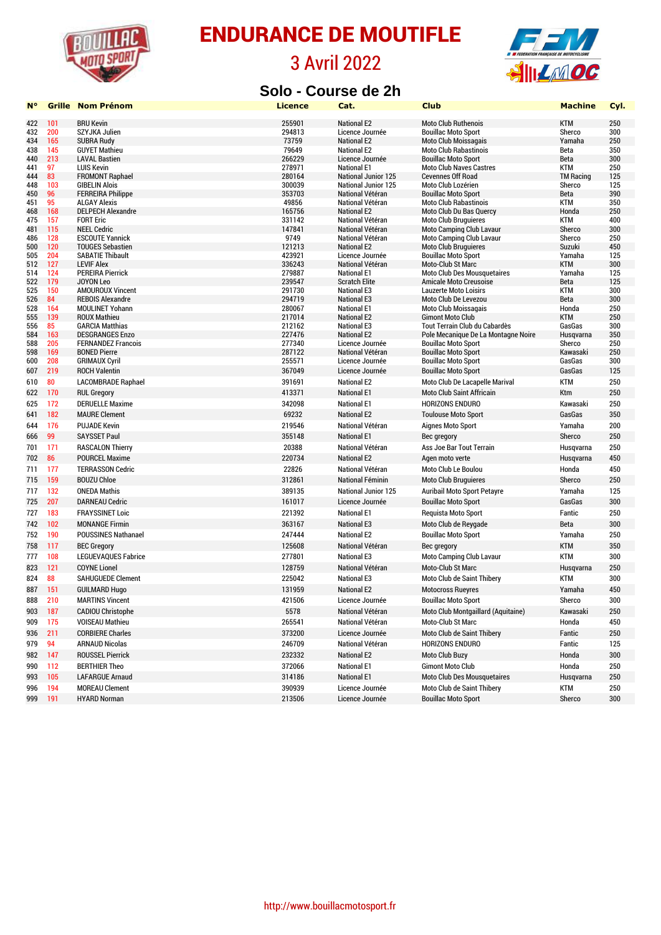

#### 3 Avril 2022





| <b>N</b> ° | Grille     | <b>Nom Prénom</b>                            | <b>Licence</b>   | Cat.                                   | <b>Club</b>                                             | <b>Machine</b>       | Cyl.       |
|------------|------------|----------------------------------------------|------------------|----------------------------------------|---------------------------------------------------------|----------------------|------------|
| 422        | 101        | <b>BRU Kevin</b>                             | 255901           | <b>National E2</b>                     | <b>Moto Club Ruthenois</b>                              | <b>KTM</b>           | 250        |
| 432        | 200        | SZYJKA Julien                                | 294813           | Licence Journée                        | <b>Bouillac Moto Sport</b>                              | Sherco               | 300        |
| 434        | 165        | <b>SUBRA Rudy</b>                            | 73759            | <b>National E2</b>                     | <b>Moto Club Moissagais</b>                             | Yamaha               | 250        |
| 438        | 145        | <b>GUYET Mathieu</b>                         | 79649            | <b>National E2</b>                     | <b>Moto Club Rabastinois</b>                            | Beta                 | 350        |
| 440        | 213        | <b>LAVAL Bastien</b>                         | 266229           | Licence Journée                        | <b>Bouillac Moto Sport</b>                              | Beta                 | 300        |
| 441        | 97         | <b>LUIS Kevin</b>                            | 278971           | <b>National E1</b>                     | <b>Moto Club Naves Castres</b>                          | <b>KTM</b>           | 250        |
| 444        | 83         | <b>FROMONT Raphael</b>                       | 280164           | <b>National Junior 125</b>             | <b>Cevennes Off Road</b>                                | <b>TM Racing</b>     | 125        |
| 448        | 103        | <b>GIBELIN Alois</b>                         | 300039           | <b>National Junior 125</b>             | Moto Club Lozérien                                      | Sherco               | 125        |
| 450        | 96         | <b>FERREIRA Philippe</b>                     | 353703           | National Vétéran                       | <b>Bouillac Moto Sport</b>                              | Beta                 | 390        |
| 451        | 95         | <b>ALGAY Alexis</b>                          | 49856            | National Vétéran                       | <b>Moto Club Rabastinois</b>                            | <b>KTM</b>           | 350        |
| 468        | 168        | <b>DELPECH Alexandre</b>                     | 165756           | <b>National E2</b>                     | Moto Club Du Bas Quercy                                 | Honda                | 250        |
| 475        | 157        | <b>FORT Eric</b>                             | 331142           | National Vétéran                       | <b>Moto Club Bruguieres</b>                             | <b>KTM</b>           | 400        |
| 481        | 115        | <b>NEEL Cedric</b>                           | 147841           | National Vétéran                       | <b>Moto Camping Club Lavaur</b>                         | Sherco               | 300        |
| 486        | 128        | <b>ESCOUTE Yannick</b>                       | 9749             | National Vétéran                       | <b>Moto Camping Club Lavaur</b>                         | Sherco               | 250        |
| 500        | 120        | <b>TOUGES Sebastien</b>                      | 121213           | <b>National E2</b>                     | <b>Moto Club Bruguieres</b>                             | Suzuki               | 450        |
| 505        | 204        | <b>SABATIE Thibault</b><br><b>LEVIF Alex</b> | 423921<br>336243 | Licence Journée                        | <b>Bouillac Moto Sport</b>                              | Yamaha<br><b>KTM</b> | 125<br>300 |
| 512<br>514 | 127<br>124 | <b>PEREIRA Pierrick</b>                      | 279887           | National Vétéran<br><b>National E1</b> | Moto-Club St Marc<br><b>Moto Club Des Mousquetaires</b> | Yamaha               | 125        |
| 522        | 179        | <b>JOYON Leo</b>                             | 239547           | <b>Scratch Elite</b>                   | <b>Amicale Moto Creusoise</b>                           | Beta                 | 125        |
| 525        | 150        | <b>AMOUROUX Vincent</b>                      | 291730           | <b>National E3</b>                     | <b>Lauzerte Moto Loisirs</b>                            | <b>KTM</b>           | 300        |
| 526        | 84         | <b>REBOIS Alexandre</b>                      | 294719           | <b>National E3</b>                     | Moto Club De Levezou                                    | Beta                 | 300        |
| 528        | 164        | <b>MOULINET Yohann</b>                       | 280067           | <b>National E1</b>                     | <b>Moto Club Moissagais</b>                             | Honda                | 250        |
| 555        | 139        | <b>ROUX Mathieu</b>                          | 217014           | <b>National E2</b>                     | <b>Gimont Moto Club</b>                                 | <b>KTM</b>           | 250        |
| 556        | 85         | <b>GARCIA Matthias</b>                       | 212162           | <b>National E3</b>                     | Tout Terrain Club du Cabardès                           | GasGas               | 300        |
| 584        | 163        | <b>DESGRANGES Enzo</b>                       | 227476           | <b>National E2</b>                     | Pole Mecanique De La Montagne Noire                     | Husqvarna            | 350        |
| 588        | 205        | <b>FERNANDEZ Francois</b>                    | 277340           | Licence Journée                        | <b>Bouillac Moto Sport</b>                              | Sherco               | 250        |
| 598        | 169        | <b>BONED Pierre</b>                          | 287122           | National Vétéran                       | <b>Bouillac Moto Sport</b>                              | Kawasaki             | 250        |
| 600        | 208        | <b>GRIMAUX Cyril</b>                         | 255571           | Licence Journée                        | <b>Bouillac Moto Sport</b>                              | GasGas               | 300        |
| 607        | 219        | <b>ROCH Valentin</b>                         | 367049           | Licence Journée                        | <b>Bouillac Moto Sport</b>                              | GasGas               | 125        |
| 610        | 80         | <b>LACOMBRADE Raphael</b>                    | 391691           | <b>National E2</b>                     | Moto Club De Lacapelle Marival                          | <b>KTM</b>           | 250        |
| 622        | 170        | <b>RUL Gregory</b>                           | 413371           | <b>National E1</b>                     | <b>Moto Club Saint Affricain</b>                        | Ktm                  | 250        |
| 625        | 172        | <b>DERUELLE Maxime</b>                       | 342098           | <b>National E1</b>                     | HORIZONS ENDURO                                         | Kawasaki             | 250        |
| 641        | 182        | <b>MAURE Clement</b>                         | 69232            | <b>National E2</b>                     | <b>Toulouse Moto Sport</b>                              | GasGas               | 350        |
| 644        | 176        | <b>PUJADE Kevin</b>                          | 219546           | National Vétéran                       | <b>Aignes Moto Sport</b>                                | Yamaha               | 200        |
| 666        | 99         | <b>SAYSSET Paul</b>                          | 355148           | <b>National E1</b>                     | Bec gregory                                             | Sherco               | 250        |
| 701        | 171        | <b>RASCALON Thierry</b>                      | 20388            | National Vétéran                       | Ass Joe Bar Tout Terrain                                | Husqvarna            | 250        |
| 702        | 86         | <b>POURCEL Maxime</b>                        | 220734           | <b>National E2</b>                     | Agen moto verte                                         | Husqvarna            | 450        |
| 711        | 177        | <b>TERRASSON Cedric</b>                      | 22826            | National Vétéran                       | Moto Club Le Boulou                                     | Honda                | 450        |
| 715        | 159        | <b>BOUZU Chloe</b>                           | 312861           | National Féminin                       | <b>Moto Club Bruguieres</b>                             | Sherco               | 250        |
| 717        | 132        | <b>ONEDA Mathis</b>                          | 389135           | <b>National Junior 125</b>             | <b>Auribail Moto Sport Petayre</b>                      | Yamaha               | 125        |
| 725        | 207        | <b>DARNEAU Cedric</b>                        | 161017           | Licence Journée                        | <b>Bouillac Moto Sport</b>                              | GasGas               | 300        |
| 727        | 183        | <b>FRAYSSINET Loic</b>                       | 221392           | <b>National E1</b>                     | Requista Moto Sport                                     | Fantic               | 250        |
| 742        | 102        | <b>MONANGE Firmin</b>                        | 363167           | <b>National E3</b>                     | Moto Club de Reygade                                    | Beta                 | 300        |
| 752        | 190        | POUSSINES Nathanael                          | 247444           | <b>National E2</b>                     | <b>Bouillac Moto Sport</b>                              | Yamaha               | 250        |
| 758        | 117        | <b>BEC Gregory</b>                           | 125608           | National Vétéran                       | Bec gregory                                             | <b>KTM</b>           | 350        |
| 777        | 108        | <b>LEGUEVAQUES Fabrice</b>                   | 277801           | <b>National E3</b>                     | <b>Moto Camping Club Lavaur</b>                         | <b>KTM</b>           | 300        |
| 823        | 121        | <b>COYNE Lionel</b>                          | 128759           | National Vétéran                       | Moto-Club St Marc                                       | Husqvarna            | 250        |
| 824        | 88         | <b>SAHUGUEDE Clement</b>                     | 225042           | <b>National E3</b>                     | Moto Club de Saint Thibery                              | <b>KTM</b>           | 300        |
| 887        | 151        | <b>GUILMARD Hugo</b>                         | 131959           | <b>National E2</b>                     | <b>Motocross Rueyres</b>                                | Yamaha               | 450        |
| 888        | 210        | <b>MARTINS Vincent</b>                       | 421506           | Licence Journée                        | <b>Bouillac Moto Sport</b>                              | Sherco               | 300        |
| 903        | <b>187</b> | <b>CADIOU Christophe</b>                     | 5578             | National Vétéran                       | Moto Club Montgaillard (Aquitaine)                      | Kawasaki             | 250        |
| 909        | 175        | <b>VOISEAU Mathieu</b>                       | 265541           | National Vétéran                       | Moto-Club St Marc                                       | Honda                | 450        |
| 936        | 211        | <b>CORBIERE Charles</b>                      | 373200           | Licence Journée                        | Moto Club de Saint Thibery                              | Fantic               | 250        |
| 979        | 94         | <b>ARNAUD Nicolas</b>                        | 246709           | National Vétéran                       | HORIZONS ENDURO                                         | Fantic               | 125        |
| 982        | 147        | <b>ROUSSEL Pierrick</b>                      | 232332           | <b>National E2</b>                     | Moto Club Buzy                                          | Honda                | 300        |
| 990        | 112        | <b>BERTHIER Theo</b>                         | 372066           | <b>National E1</b>                     | <b>Gimont Moto Club</b>                                 | Honda                | 250        |
| 993        | 105        | <b>LAFARGUE Arnaud</b>                       | 314186           | <b>National E1</b>                     | <b>Moto Club Des Mousquetaires</b>                      | Husqvarna            | 250        |
| 996        | 194        | <b>MOREAU Clement</b>                        | 390939           | Licence Journée                        | Moto Club de Saint Thibery                              | KTM                  | 250        |
| 999        | 191        | <b>HYARD Norman</b>                          | 213506           | Licence Journée                        | <b>Bouillac Moto Sport</b>                              | Sherco               | 300        |
|            |            |                                              |                  |                                        |                                                         |                      |            |